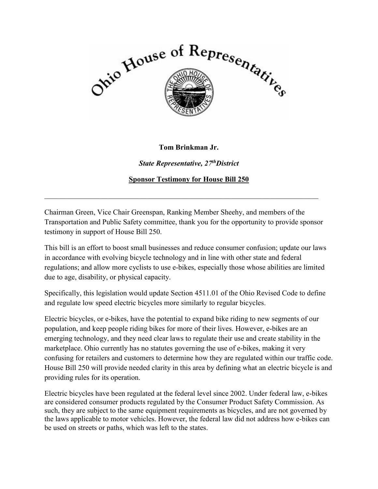

## **Tom Brinkman Jr.**

*State Representative, 27thDistrict* 

**Sponsor Testimony for House Bill 250** 

Chairman Green, Vice Chair Greenspan, Ranking Member Sheehy, and members of the Transportation and Public Safety committee, thank you for the opportunity to provide sponsor testimony in support of House Bill 250.

 $\_$  , and the set of the set of the set of the set of the set of the set of the set of the set of the set of the set of the set of the set of the set of the set of the set of the set of the set of the set of the set of th

This bill is an effort to boost small businesses and reduce consumer confusion; update our laws in accordance with evolving bicycle technology and in line with other state and federal regulations; and allow more cyclists to use e-bikes, especially those whose abilities are limited due to age, disability, or physical capacity.

Specifically, this legislation would update Section 4511.01 of the Ohio Revised Code to define and regulate low speed electric bicycles more similarly to regular bicycles.

Electric bicycles, or e-bikes, have the potential to expand bike riding to new segments of our population, and keep people riding bikes for more of their lives. However, e-bikes are an emerging technology, and they need clear laws to regulate their use and create stability in the marketplace. Ohio currently has no statutes governing the use of e-bikes, making it very confusing for retailers and customers to determine how they are regulated within our traffic code. House Bill 250 will provide needed clarity in this area by defining what an electric bicycle is and providing rules for its operation.

Electric bicycles have been regulated at the federal level since 2002. Under federal law, e-bikes are considered consumer products regulated by the Consumer Product Safety Commission. As such, they are subject to the same equipment requirements as bicycles, and are not governed by the laws applicable to motor vehicles. However, the federal law did not address how e-bikes can be used on streets or paths, which was left to the states.